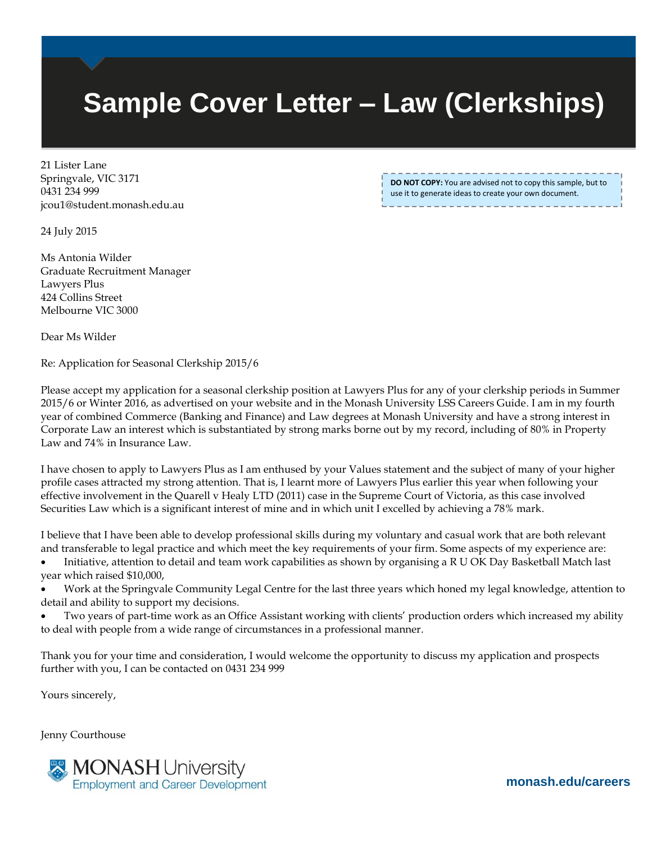## **Sample Cover Letter – Law (Clerkships)**

21 Lister Lane Springvale, VIC 3171 0431 234 999 jcou1@student.monash.edu.au

**DO NOT COPY:** You are advised not to copy this sample, but to use it to generate ideas to create your own document.

24 July 2015

Ms Antonia Wilder Graduate Recruitment Manager Lawyers Plus 424 Collins Street Melbourne VIC 3000

Dear Ms Wilder

Re: Application for Seasonal Clerkship 2015/6

Please accept my application for a seasonal clerkship position at Lawyers Plus for any of your clerkship periods in Summer 2015/6 or Winter 2016, as advertised on your website and in the Monash University LSS Careers Guide. I am in my fourth year of combined Commerce (Banking and Finance) and Law degrees at Monash University and have a strong interest in Corporate Law an interest which is substantiated by strong marks borne out by my record, including of 80% in Property Law and 74% in Insurance Law.

I have chosen to apply to Lawyers Plus as I am enthused by your Values statement and the subject of many of your higher profile cases attracted my strong attention. That is, I learnt more of Lawyers Plus earlier this year when following your effective involvement in the Quarell v Healy LTD (2011) case in the Supreme Court of Victoria, as this case involved Securities Law which is a significant interest of mine and in which unit I excelled by achieving a 78% mark.

I believe that I have been able to develop professional skills during my voluntary and casual work that are both relevant and transferable to legal practice and which meet the key requirements of your firm. Some aspects of my experience are:

 Initiative, attention to detail and team work capabilities as shown by organising a R U OK Day Basketball Match last year which raised \$10,000,

 Work at the Springvale Community Legal Centre for the last three years which honed my legal knowledge, attention to detail and ability to support my decisions.

 Two years of part-time work as an Office Assistant working with clients' production orders which increased my ability to deal with people from a wide range of circumstances in a professional manner.

Thank you for your time and consideration, I would welcome the opportunity to discuss my application and prospects further with you, I can be contacted on 0431 234 999

Yours sincerely,

Jenny Courthouse



**monash.edu/careers**